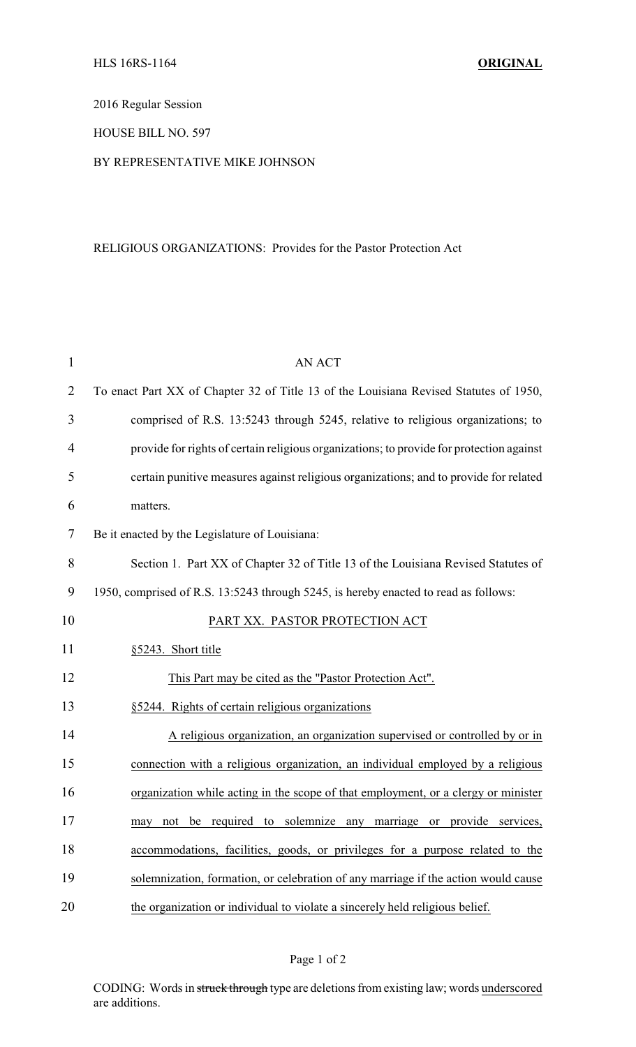2016 Regular Session

HOUSE BILL NO. 597

## BY REPRESENTATIVE MIKE JOHNSON

## RELIGIOUS ORGANIZATIONS: Provides for the Pastor Protection Act

| $\mathbf{1}$ | <b>AN ACT</b>                                                                            |
|--------------|------------------------------------------------------------------------------------------|
| 2            | To enact Part XX of Chapter 32 of Title 13 of the Louisiana Revised Statutes of 1950,    |
| 3            | comprised of R.S. 13:5243 through 5245, relative to religious organizations; to          |
| 4            | provide for rights of certain religious organizations; to provide for protection against |
| 5            | certain punitive measures against religious organizations; and to provide for related    |
| 6            | matters.                                                                                 |
| 7            | Be it enacted by the Legislature of Louisiana:                                           |
| 8            | Section 1. Part XX of Chapter 32 of Title 13 of the Louisiana Revised Statutes of        |
| 9            | 1950, comprised of R.S. 13:5243 through 5245, is hereby enacted to read as follows:      |
| 10           | PART XX. PASTOR PROTECTION ACT                                                           |
| 11           | §5243. Short title                                                                       |
| 12           | This Part may be cited as the "Pastor Protection Act".                                   |
| 13           | §5244. Rights of certain religious organizations                                         |
| 14           | A religious organization, an organization supervised or controlled by or in              |
| 15           | connection with a religious organization, an individual employed by a religious          |
| 16           | organization while acting in the scope of that employment, or a clergy or minister       |
| 17           | may not be required to solemnize any marriage or provide services,                       |
| 18           | accommodations, facilities, goods, or privileges for a purpose related to the            |
| 19           | solemnization, formation, or celebration of any marriage if the action would cause       |
| 20           | the organization or individual to violate a sincerely held religious belief.             |